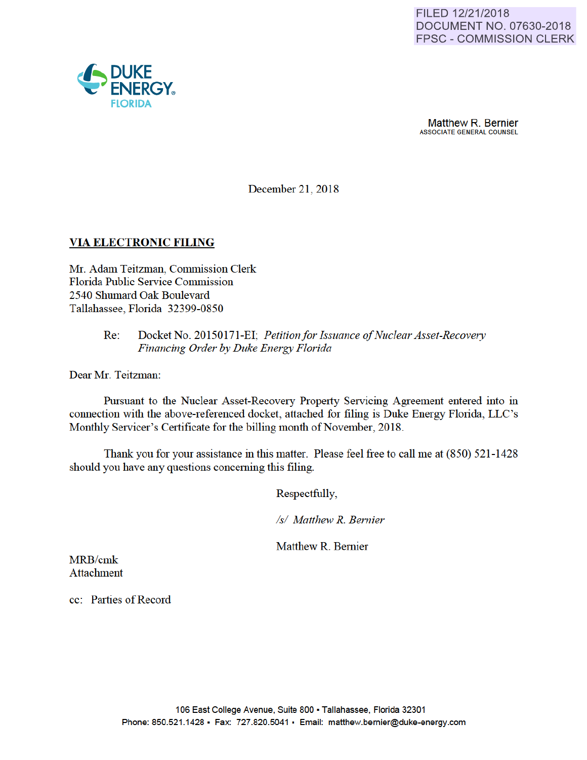Matthew R. Bernier ASSOCIATE GENERAL COUNSEL

December 21, 2018

### VIA ELECTRONIC FILING

Mr. Adam Teitzman, Commission Clerk Florida Public Service Commission 2540 Shumard Oak Boulevard Tallahassee, Florida 32399-0850

#### Re: Docket No. 20150171-EI; *Petitionfor Issuance of Nuclear Asset-Recovery Financing Order by Duke Energy Florida*

Dear Mr. Teitzman:

Pursuant to the Nuclear Asset-Recovery Property Servicing Agreement entered into in connection with the above-referenced docket, attached for filing is Duke Energy Florida, LLC's Monthly Servicer's Certificate for the billing month of November, 2018.

Thank you for your assistance in this matter. Please feel free to call me at (850) 521-1428 should you have any questions conceming this filing.

Respectfully,

*Is/ Matthew R. Bernier* 

Matthew R. Bemier

MRB/cmk Attachment

cc: Parties of Record

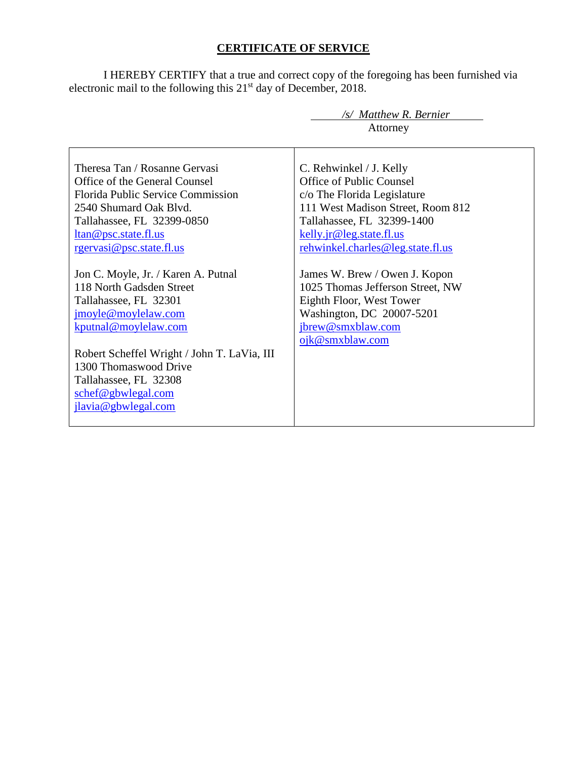## **CERTIFICATE OF SERVICE**

I HEREBY CERTIFY that a true and correct copy of the foregoing has been furnished via electronic mail to the following this 21<sup>st</sup> day of December, 2018.

|                                             | /s/ Matthew R. Bernier            |
|---------------------------------------------|-----------------------------------|
|                                             | Attorney                          |
|                                             |                                   |
| Theresa Tan / Rosanne Gervasi               | C. Rehwinkel / J. Kelly           |
| Office of the General Counsel               | Office of Public Counsel          |
| <b>Florida Public Service Commission</b>    | c/o The Florida Legislature       |
| 2540 Shumard Oak Blyd.                      | 111 West Madison Street, Room 812 |
| Tallahassee, FL 32399-0850                  | Tallahassee, FL 32399-1400        |
| ltan@psc.state.fl.us                        | kelly.jr@leg.state.fl.us          |
| rgervasi@psc.state.fl.us                    | rehwinkel.charles@leg.state.fl.us |
|                                             |                                   |
| Jon C. Moyle, Jr. / Karen A. Putnal         | James W. Brew / Owen J. Kopon     |
| 118 North Gadsden Street                    | 1025 Thomas Jefferson Street, NW  |
| Tallahassee, FL 32301                       | Eighth Floor, West Tower          |
| jmoyle@moylelaw.com                         | Washington, DC 20007-5201         |
| kputnal@moylelaw.com                        | jbrew@smxblaw.com                 |
|                                             | ojk@smxblaw.com                   |
| Robert Scheffel Wright / John T. LaVia, III |                                   |
| 1300 Thomaswood Drive                       |                                   |
| Tallahassee, FL 32308                       |                                   |
| schef@gbwlegal.com                          |                                   |
| jlavia@gbwlegal.com                         |                                   |
|                                             |                                   |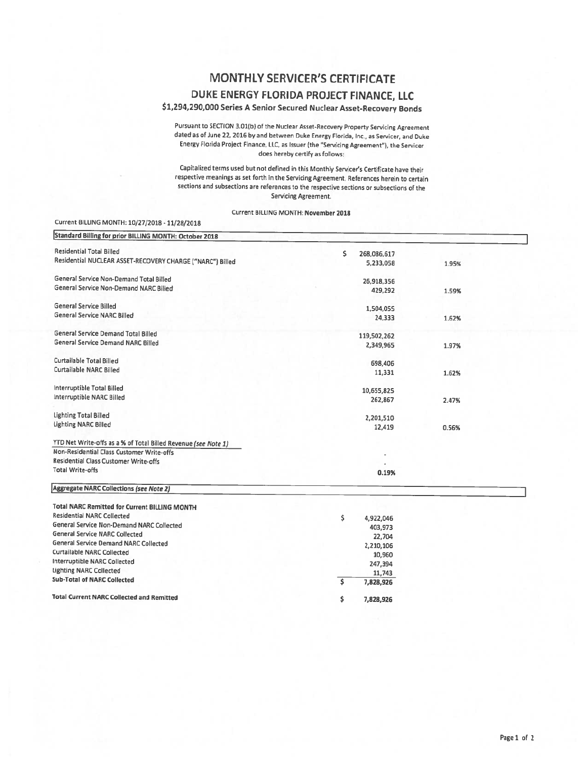# **MONTHLY SERVICER'S CERTIFICATE**

### DUKE ENERGY FLORIDA PROJECT FINANCE, LLC

### \$1,294,290,000 Series A Senior Secured Nuclear Asset-Recovery Bonds

Pursuant to SECTION 3.01(b) of the Nuclear Asset-Recovery Property Servicing Agreement dated as of June 22, 2016 by and between Duke Energy Florida, Inc., as Servicer, and Duke Energy Florida Project Finance, LLC, as Issuer (the "Servicing Agreement"), the Servicer does hereby certify as follows:

Capitalized terms used but not defined in this Monthly Servicer's Certificate have their respective meanings as set forth in the Servicing Agreement. References herein to certain sections and subsections are references to the respective sections or subsections of the Servicing Agreement.

Current BILLING MONTH: November 2018

#### Current BILLING MONTH: 10/27/2018 - 11/28/2018

| Standard Billing for prior BILLING MONTH: October 2018         |                           |       |
|----------------------------------------------------------------|---------------------------|-------|
| <b>Residential Total Billed</b>                                | \$<br>268,086,617         |       |
| Residential NUCLEAR ASSET-RECOVERY CHARGE ("NARC") Billed      | 5,233,058                 | 1.95% |
| General Service Non-Demand Total Billed                        | 26,918,356                |       |
| General Service Non-Demand NARC Billed                         | 429,292                   | 1.59% |
| <b>General Service Billed</b>                                  | 1,504,055                 |       |
| General Service NARC Billed                                    | 24,333                    | 1.62% |
| General Service Demand Total Billed                            | 119,502,262               |       |
| General Service Demand NARC Billed                             | 2,349,965                 | 1.97% |
| Curtailable Total Billed                                       | 698,406                   |       |
| <b>Curtailable NARC Billed</b>                                 | 11,331                    | 1.62% |
| Interruptible Total Billed                                     | 10,655,825                |       |
| Interruptible NARC Billed                                      | 262,867                   | 2.47% |
| <b>Lighting Total Billed</b>                                   | 2,201,510                 |       |
| Lighting NARC Billed                                           | 12,419                    | 0.56% |
| YTD Net Write-offs as a % of Total Billed Revenue (see Note 1) |                           |       |
| Non-Residential Class Customer Write-offs                      |                           |       |
| Residential Class Customer Write-offs                          |                           |       |
| <b>Total Write-offs</b>                                        | 0.19%                     |       |
| Aggregate NARC Collections (see Note 2)                        |                           |       |
| <b>Total NARC Remitted for Current BILLING MONTH</b>           |                           |       |
| Residential NARC Collected                                     | $\overline{a}$<br>0.02288 |       |

| Residential NARC Collected                       | \$<br>4,922,046 |
|--------------------------------------------------|-----------------|
| General Service Non-Demand NARC Collected        | 403,973         |
| <b>General Service NARC Collected</b>            | 22,704          |
| <b>General Service Demand NARC Collected</b>     | 2,210,106       |
| Curtailable NARC Collected                       | 10,960          |
| Interruptible NARC Collected                     | 247,394         |
| <b>Lighting NARC Collected</b>                   | 11,743          |
| <b>Sub-Total of NARC Collected</b>               | 7,828,926       |
| <b>Total Current NARC Collected and Remitted</b> | Ś<br>7,828,926  |
|                                                  |                 |